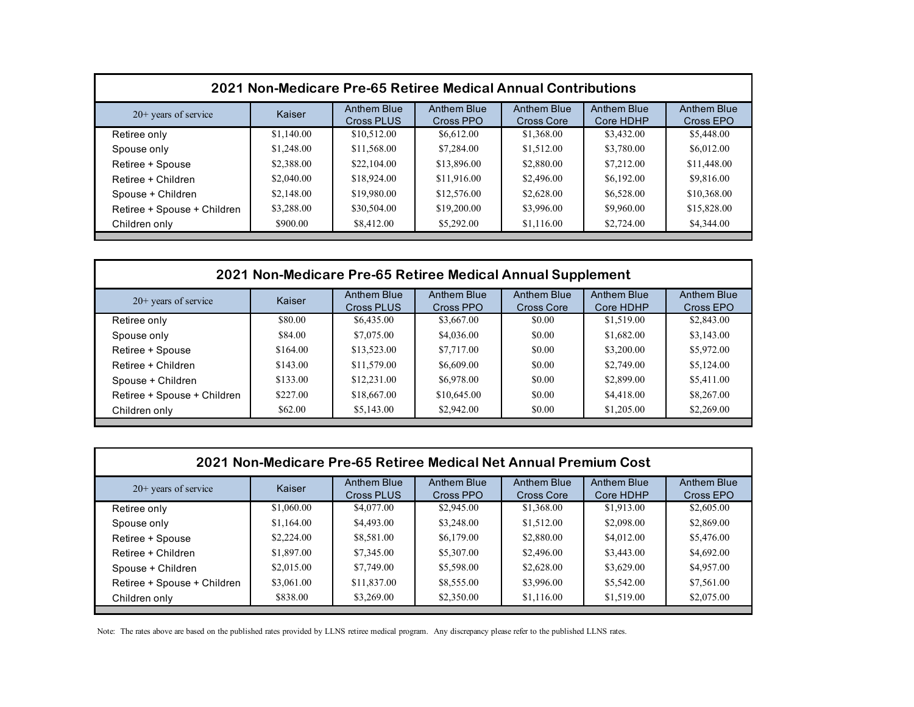| 2021 Non-Medicare Pre-65 Retiree Medical Annual Contributions |            |                           |                          |                           |                                 |                          |  |
|---------------------------------------------------------------|------------|---------------------------|--------------------------|---------------------------|---------------------------------|--------------------------|--|
| $20+$ years of service                                        | Kaiser     | Anthem Blue<br>Cross PLUS | Anthem Blue<br>Cross PPO | Anthem Blue<br>Cross Core | <b>Anthem Blue</b><br>Core HDHP | Anthem Blue<br>Cross EPO |  |
| Retiree only                                                  | \$1,140.00 | \$10,512.00               | \$6,612.00               | \$1,368.00                | \$3,432.00                      | \$5,448.00               |  |
| Spouse only                                                   | \$1,248.00 | \$11,568.00               | \$7,284.00               | \$1,512.00                | \$3,780.00                      | \$6,012.00               |  |
| Retiree + Spouse                                              | \$2,388.00 | \$22,104.00               | \$13,896.00              | \$2,880.00                | \$7,212.00                      | \$11,448.00              |  |
| Retiree + Children                                            | \$2,040.00 | \$18,924.00               | \$11,916.00              | \$2,496.00                | \$6,192.00                      | \$9,816.00               |  |
| Spouse + Children                                             | \$2,148.00 | \$19,980.00               | \$12,576.00              | \$2,628.00                | \$6,528.00                      | \$10,368.00              |  |
| Retiree + Spouse + Children                                   | \$3,288.00 | \$30,504.00               | \$19,200.00              | \$3,996.00                | \$9,960.00                      | \$15,828.00              |  |
| Children only                                                 | \$900.00   | \$8,412.00                | \$5,292.00               | \$1,116.00                | \$2,724.00                      | \$4,344.00               |  |

| 2021 Non-Medicare Pre-65 Retiree Medical Annual Supplement |          |                           |                          |                                  |                                 |                          |  |
|------------------------------------------------------------|----------|---------------------------|--------------------------|----------------------------------|---------------------------------|--------------------------|--|
| $20+$ years of service                                     | Kaiser   | Anthem Blue<br>Cross PLUS | Anthem Blue<br>Cross PPO | Anthem Blue<br><b>Cross Core</b> | <b>Anthem Blue</b><br>Core HDHP | Anthem Blue<br>Cross EPO |  |
| Retiree only                                               | \$80.00  | \$6,435.00                | \$3,667.00               | \$0.00                           | \$1,519.00                      | \$2,843.00               |  |
| Spouse only                                                | \$84.00  | \$7,075.00                | \$4,036.00               | \$0.00                           | \$1,682.00                      | \$3,143.00               |  |
| Retiree + Spouse                                           | \$164.00 | \$13,523.00               | \$7,717.00               | \$0.00                           | \$3,200.00                      | \$5,972.00               |  |
| Retiree + Children                                         | \$143.00 | \$11,579.00               | \$6,609.00               | \$0.00                           | \$2,749.00                      | \$5,124.00               |  |
| Spouse + Children                                          | \$133.00 | \$12,231.00               | \$6,978.00               | \$0.00                           | \$2,899.00                      | \$5,411.00               |  |
| Retiree + Spouse + Children                                | \$227.00 | \$18,667.00               | \$10,645.00              | \$0.00                           | \$4,418.00                      | \$8,267.00               |  |
| Children only                                              | \$62.00  | \$5,143.00                | \$2,942.00               | \$0.00                           | \$1,205.00                      | \$2,269.00               |  |

| 2021 Non-Medicare Pre-65 Retiree Medical Net Annual Premium Cost |            |                           |                          |                                  |                          |                          |  |  |
|------------------------------------------------------------------|------------|---------------------------|--------------------------|----------------------------------|--------------------------|--------------------------|--|--|
| $20+$ years of service                                           | Kaiser     | Anthem Blue<br>Cross PLUS | Anthem Blue<br>Cross PPO | Anthem Blue<br><b>Cross Core</b> | Anthem Blue<br>Core HDHP | Anthem Blue<br>Cross EPO |  |  |
| Retiree only                                                     | \$1,060.00 | \$4,077.00                | \$2,945.00               | \$1,368.00                       | \$1,913.00               | \$2,605.00               |  |  |
| Spouse only                                                      | \$1,164.00 | \$4,493.00                | \$3,248.00               | \$1,512.00                       | \$2,098.00               | \$2,869.00               |  |  |
| Retiree + Spouse                                                 | \$2,224.00 | \$8,581.00                | \$6,179.00               | \$2,880.00                       | \$4,012.00               | \$5,476.00               |  |  |
| Retiree + Children                                               | \$1,897.00 | \$7,345.00                | \$5,307.00               | \$2,496.00                       | \$3,443.00               | \$4,692.00               |  |  |
| Spouse + Children                                                | \$2,015.00 | \$7,749.00                | \$5,598.00               | \$2,628.00                       | \$3,629.00               | \$4,957.00               |  |  |
| Retiree + Spouse + Children                                      | \$3,061.00 | \$11,837.00               | \$8,555.00               | \$3,996.00                       | \$5,542.00               | \$7,561.00               |  |  |
| Children only                                                    | \$838.00   | \$3,269.00                | \$2,350.00               | \$1,116.00                       | \$1,519.00               | \$2,075.00               |  |  |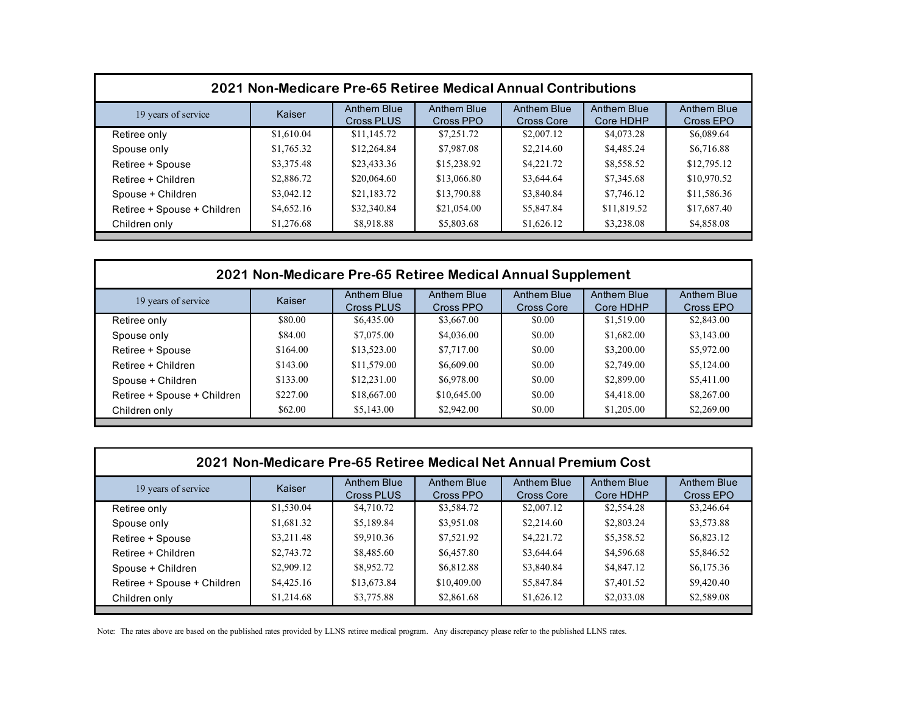| 2021 Non-Medicare Pre-65 Retiree Medical Annual Contributions |            |                           |                          |                                  |                                 |                                 |  |
|---------------------------------------------------------------|------------|---------------------------|--------------------------|----------------------------------|---------------------------------|---------------------------------|--|
| 19 years of service                                           | Kaiser     | Anthem Blue<br>Cross PLUS | Anthem Blue<br>Cross PPO | <b>Anthem Blue</b><br>Cross Core | <b>Anthem Blue</b><br>Core HDHP | <b>Anthem Blue</b><br>Cross EPO |  |
| Retiree only                                                  | \$1,610.04 | \$11,145.72               | \$7,251.72               | \$2,007.12                       | \$4,073.28                      | \$6,089.64                      |  |
| Spouse only                                                   | \$1,765.32 | \$12,264.84               | \$7,987.08               | \$2,214.60                       | \$4,485.24                      | \$6,716.88                      |  |
| Retiree + Spouse                                              | \$3,375.48 | \$23,433.36               | \$15,238.92              | \$4,221.72                       | \$8,558.52                      | \$12,795.12                     |  |
| Retiree + Children                                            | \$2,886.72 | \$20,064.60               | \$13,066.80              | \$3,644.64                       | \$7,345.68                      | \$10,970.52                     |  |
| Spouse + Children                                             | \$3,042.12 | \$21,183.72               | \$13,790.88              | \$3,840.84                       | \$7,746.12                      | \$11,586.36                     |  |
| Retiree + Spouse + Children                                   | \$4,652.16 | \$32,340.84               | \$21,054.00              | \$5,847.84                       | \$11,819.52                     | \$17,687.40                     |  |
| Children only                                                 | \$1,276.68 | \$8,918.88                | \$5,803.68               | \$1,626.12                       | \$3,238.08                      | \$4,858.08                      |  |

| 2021 Non-Medicare Pre-65 Retiree Medical Annual Supplement |          |                           |                          |                                  |                                 |                          |  |
|------------------------------------------------------------|----------|---------------------------|--------------------------|----------------------------------|---------------------------------|--------------------------|--|
| 19 years of service                                        | Kaiser   | Anthem Blue<br>Cross PLUS | Anthem Blue<br>Cross PPO | Anthem Blue<br><b>Cross Core</b> | <b>Anthem Blue</b><br>Core HDHP | Anthem Blue<br>Cross EPO |  |
| Retiree only                                               | \$80.00  | \$6,435.00                | \$3,667.00               | \$0.00                           | \$1,519.00                      | \$2,843.00               |  |
| Spouse only                                                | \$84.00  | \$7,075.00                | \$4,036.00               | \$0.00                           | \$1,682.00                      | \$3,143.00               |  |
| Retiree + Spouse                                           | \$164.00 | \$13,523.00               | \$7,717.00               | \$0.00                           | \$3,200.00                      | \$5,972.00               |  |
| Retiree + Children                                         | \$143.00 | \$11,579.00               | \$6,609.00               | \$0.00                           | \$2,749.00                      | \$5,124.00               |  |
| Spouse + Children                                          | \$133.00 | \$12,231.00               | \$6,978.00               | \$0.00                           | \$2,899.00                      | \$5,411.00               |  |
| Retiree + Spouse + Children                                | \$227.00 | \$18,667.00               | \$10,645.00              | \$0.00                           | \$4,418.00                      | \$8,267.00               |  |
| Children only                                              | \$62.00  | \$5,143.00                | \$2,942.00               | \$0.00                           | \$1,205.00                      | \$2,269.00               |  |

| 2021 Non-Medicare Pre-65 Retiree Medical Net Annual Premium Cost |            |                           |                          |                                         |                                 |                          |  |  |
|------------------------------------------------------------------|------------|---------------------------|--------------------------|-----------------------------------------|---------------------------------|--------------------------|--|--|
| 19 years of service                                              | Kaiser     | Anthem Blue<br>Cross PLUS | Anthem Blue<br>Cross PPO | <b>Anthem Blue</b><br><b>Cross Core</b> | <b>Anthem Blue</b><br>Core HDHP | Anthem Blue<br>Cross EPO |  |  |
| Retiree only                                                     | \$1,530.04 | \$4,710.72                | \$3,584.72               | \$2,007.12                              | \$2,554.28                      | \$3,246.64               |  |  |
| Spouse only                                                      | \$1,681.32 | \$5,189.84                | \$3,951.08               | \$2,214.60                              | \$2,803.24                      | \$3,573.88               |  |  |
| Retiree + Spouse                                                 | \$3,211.48 | \$9,910.36                | \$7,521.92               | \$4,221.72                              | \$5,358.52                      | \$6,823.12               |  |  |
| Retiree + Children                                               | \$2,743.72 | \$8,485.60                | \$6,457.80               | \$3,644.64                              | \$4,596.68                      | \$5,846.52               |  |  |
| Spouse + Children                                                | \$2,909.12 | \$8,952.72                | \$6,812.88               | \$3,840.84                              | \$4,847.12                      | \$6,175.36               |  |  |
| Retiree + Spouse + Children                                      | \$4,425.16 | \$13,673.84               | \$10,409.00              | \$5,847.84                              | \$7,401.52                      | \$9,420.40               |  |  |
| Children only                                                    | \$1,214.68 | \$3,775.88                | \$2,861.68               | \$1,626.12                              | \$2,033.08                      | \$2,589.08               |  |  |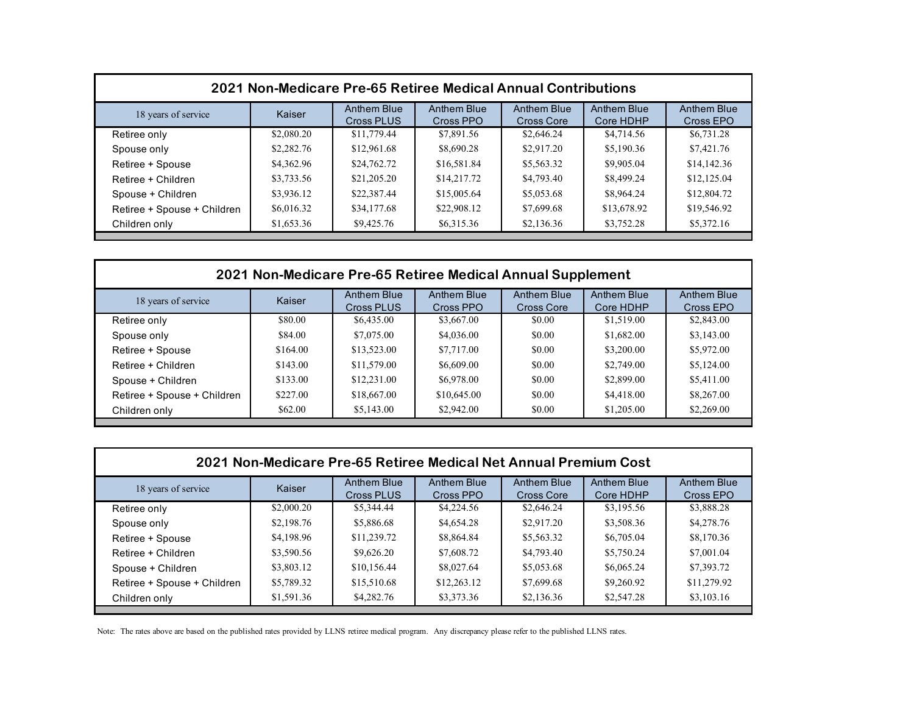| 2021 Non-Medicare Pre-65 Retiree Medical Annual Contributions |            |                           |                          |                                  |                                 |                                 |  |
|---------------------------------------------------------------|------------|---------------------------|--------------------------|----------------------------------|---------------------------------|---------------------------------|--|
| 18 years of service                                           | Kaiser     | Anthem Blue<br>Cross PLUS | Anthem Blue<br>Cross PPO | <b>Anthem Blue</b><br>Cross Core | <b>Anthem Blue</b><br>Core HDHP | <b>Anthem Blue</b><br>Cross EPO |  |
| Retiree only                                                  | \$2,080.20 | \$11,779.44               | \$7,891.56               | \$2,646.24                       | \$4,714.56                      | \$6,731.28                      |  |
| Spouse only                                                   | \$2,282.76 | \$12,961.68               | \$8,690.28               | \$2,917.20                       | \$5,190.36                      | \$7,421.76                      |  |
| Retiree + Spouse                                              | \$4,362.96 | \$24,762.72               | \$16,581.84              | \$5,563.32                       | \$9,905.04                      | \$14,142.36                     |  |
| Retiree + Children                                            | \$3,733.56 | \$21,205.20               | \$14,217.72              | \$4,793.40                       | \$8,499.24                      | \$12,125.04                     |  |
| Spouse + Children                                             | \$3,936.12 | \$22,387.44               | \$15,005.64              | \$5,053.68                       | \$8,964.24                      | \$12,804.72                     |  |
| Retiree + Spouse + Children                                   | \$6,016.32 | \$34,177.68               | \$22,908.12              | \$7,699.68                       | \$13,678.92                     | \$19,546.92                     |  |
| Children only                                                 | \$1,653.36 | \$9,425.76                | \$6,315.36               | \$2,136.36                       | \$3,752.28                      | \$5,372.16                      |  |

| 2021 Non-Medicare Pre-65 Retiree Medical Annual Supplement |          |                                  |                          |                           |                          |                                 |  |
|------------------------------------------------------------|----------|----------------------------------|--------------------------|---------------------------|--------------------------|---------------------------------|--|
| 18 years of service                                        | Kaiser   | <b>Anthem Blue</b><br>Cross PLUS | Anthem Blue<br>Cross PPO | Anthem Blue<br>Cross Core | Anthem Blue<br>Core HDHP | <b>Anthem Blue</b><br>Cross EPO |  |
| Retiree only                                               | \$80.00  | \$6,435.00                       | \$3,667.00               | \$0.00                    | \$1,519.00               | \$2,843.00                      |  |
| Spouse only                                                | \$84.00  | \$7,075.00                       | \$4,036.00               | \$0.00                    | \$1,682.00               | \$3,143.00                      |  |
| Retiree + Spouse                                           | \$164.00 | \$13,523.00                      | \$7,717.00               | \$0.00                    | \$3,200.00               | \$5,972.00                      |  |
| Retiree + Children                                         | \$143.00 | \$11,579.00                      | \$6,609.00               | \$0.00                    | \$2,749.00               | \$5,124.00                      |  |
| Spouse + Children                                          | \$133.00 | \$12,231.00                      | \$6,978.00               | \$0.00                    | \$2,899.00               | \$5,411.00                      |  |
| Retiree + Spouse + Children                                | \$227.00 | \$18,667.00                      | \$10,645.00              | \$0.00                    | \$4,418.00               | \$8,267.00                      |  |
| Children only                                              | \$62.00  | \$5,143.00                       | \$2,942.00               | \$0.00                    | \$1,205.00               | \$2,269.00                      |  |

| 2021 Non-Medicare Pre-65 Retiree Medical Net Annual Premium Cost |            |                           |                          |                                         |                          |                          |  |  |
|------------------------------------------------------------------|------------|---------------------------|--------------------------|-----------------------------------------|--------------------------|--------------------------|--|--|
| 18 years of service                                              | Kaiser     | Anthem Blue<br>Cross PLUS | Anthem Blue<br>Cross PPO | <b>Anthem Blue</b><br><b>Cross Core</b> | Anthem Blue<br>Core HDHP | Anthem Blue<br>Cross EPO |  |  |
| Retiree only                                                     | \$2,000.20 | \$5,344.44                | \$4,224.56               | \$2,646.24                              | \$3,195.56               | \$3,888.28               |  |  |
| Spouse only                                                      | \$2,198.76 | \$5,886.68                | \$4,654.28               | \$2,917.20                              | \$3,508.36               | \$4,278.76               |  |  |
| Retiree + Spouse                                                 | \$4,198.96 | \$11,239.72               | \$8,864.84               | \$5,563.32                              | \$6,705.04               | \$8,170.36               |  |  |
| Retiree + Children                                               | \$3,590.56 | \$9,626.20                | \$7,608.72               | \$4,793.40                              | \$5,750.24               | \$7,001.04               |  |  |
| Spouse + Children                                                | \$3,803.12 | \$10,156.44               | \$8,027.64               | \$5,053.68                              | \$6,065.24               | \$7,393.72               |  |  |
| Retiree + Spouse + Children                                      | \$5,789.32 | \$15,510.68               | \$12,263.12              | \$7,699.68                              | \$9,260.92               | \$11,279.92              |  |  |
| Children only                                                    | \$1,591.36 | \$4,282.76                | \$3,373.36               | \$2,136.36                              | \$2,547.28               | \$3,103.16               |  |  |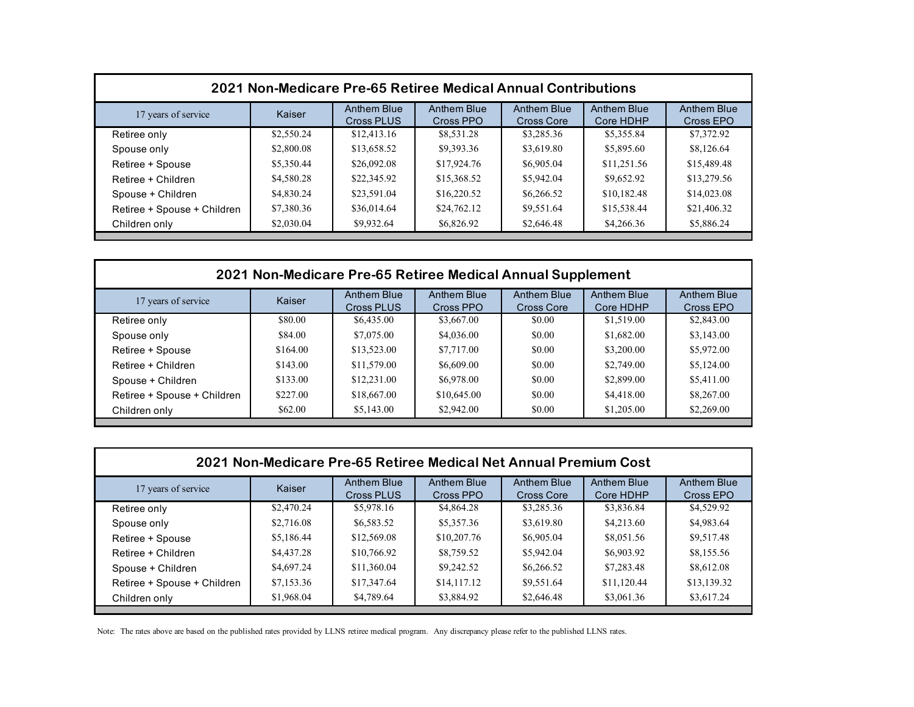| 2021 Non-Medicare Pre-65 Retiree Medical Annual Contributions |            |                                  |                                 |                           |                                 |                                 |  |
|---------------------------------------------------------------|------------|----------------------------------|---------------------------------|---------------------------|---------------------------------|---------------------------------|--|
| 17 years of service                                           | Kaiser     | Anthem Blue<br><b>Cross PLUS</b> | <b>Anthem Blue</b><br>Cross PPO | Anthem Blue<br>Cross Core | <b>Anthem Blue</b><br>Core HDHP | <b>Anthem Blue</b><br>Cross EPO |  |
| Retiree only                                                  | \$2,550.24 | \$12,413.16                      | \$8,531.28                      | \$3,285.36                | \$5,355.84                      | \$7,372.92                      |  |
| Spouse only                                                   | \$2,800.08 | \$13,658.52                      | \$9,393.36                      | \$3,619.80                | \$5,895.60                      | \$8,126.64                      |  |
| Retiree + Spouse                                              | \$5,350.44 | \$26,092.08                      | \$17,924.76                     | \$6,905.04                | \$11,251.56                     | \$15,489.48                     |  |
| Retiree + Children                                            | \$4,580.28 | \$22,345.92                      | \$15,368.52                     | \$5,942.04                | \$9,652.92                      | \$13,279.56                     |  |
| Spouse + Children                                             | \$4,830.24 | \$23,591.04                      | \$16,220.52                     | \$6,266.52                | \$10,182.48                     | \$14,023.08                     |  |
| Retiree + Spouse + Children                                   | \$7,380.36 | \$36,014.64                      | \$24,762.12                     | \$9,551.64                | \$15,538.44                     | \$21,406.32                     |  |
| Children only                                                 | \$2,030.04 | \$9,932.64                       | \$6,826.92                      | \$2,646.48                | \$4,266.36                      | \$5,886.24                      |  |

| 2021 Non-Medicare Pre-65 Retiree Medical Annual Supplement |          |                                  |                          |                           |                          |                                 |  |
|------------------------------------------------------------|----------|----------------------------------|--------------------------|---------------------------|--------------------------|---------------------------------|--|
| 17 years of service                                        | Kaiser   | <b>Anthem Blue</b><br>Cross PLUS | Anthem Blue<br>Cross PPO | Anthem Blue<br>Cross Core | Anthem Blue<br>Core HDHP | <b>Anthem Blue</b><br>Cross EPO |  |
| Retiree only                                               | \$80.00  | \$6,435.00                       | \$3,667.00               | \$0.00                    | \$1,519.00               | \$2,843.00                      |  |
| Spouse only                                                | \$84.00  | \$7,075.00                       | \$4,036.00               | \$0.00                    | \$1,682.00               | \$3,143.00                      |  |
| Retiree + Spouse                                           | \$164.00 | \$13,523.00                      | \$7,717.00               | \$0.00                    | \$3,200.00               | \$5,972.00                      |  |
| Retiree + Children                                         | \$143.00 | \$11,579.00                      | \$6,609.00               | \$0.00                    | \$2,749.00               | \$5,124.00                      |  |
| Spouse + Children                                          | \$133.00 | \$12,231.00                      | \$6,978.00               | \$0.00                    | \$2,899.00               | \$5,411.00                      |  |
| Retiree + Spouse + Children                                | \$227.00 | \$18,667.00                      | \$10,645.00              | \$0.00                    | \$4,418.00               | \$8,267.00                      |  |
| Children only                                              | \$62.00  | \$5,143.00                       | \$2,942.00               | \$0.00                    | \$1,205.00               | \$2,269.00                      |  |

| 2021 Non-Medicare Pre-65 Retiree Medical Net Annual Premium Cost |            |                           |                                 |                                  |                                 |                          |  |  |
|------------------------------------------------------------------|------------|---------------------------|---------------------------------|----------------------------------|---------------------------------|--------------------------|--|--|
| 17 years of service                                              | Kaiser     | Anthem Blue<br>Cross PLUS | <b>Anthem Blue</b><br>Cross PPO | Anthem Blue<br><b>Cross Core</b> | <b>Anthem Blue</b><br>Core HDHP | Anthem Blue<br>Cross EPO |  |  |
| Retiree only                                                     | \$2,470.24 | \$5,978.16                | \$4,864.28                      | \$3,285.36                       | \$3,836.84                      | \$4,529.92               |  |  |
| Spouse only                                                      | \$2,716.08 | \$6,583.52                | \$5,357.36                      | \$3,619.80                       | \$4,213.60                      | \$4,983.64               |  |  |
| Retiree + Spouse                                                 | \$5,186.44 | \$12,569.08               | \$10,207.76                     | \$6,905.04                       | \$8,051.56                      | \$9,517.48               |  |  |
| Retiree + Children                                               | \$4,437.28 | \$10,766.92               | \$8,759.52                      | \$5,942.04                       | \$6,903.92                      | \$8,155.56               |  |  |
| Spouse + Children                                                | \$4,697.24 | \$11,360.04               | \$9,242.52                      | \$6,266.52                       | \$7,283.48                      | \$8,612.08               |  |  |
| Retiree + Spouse + Children                                      | \$7,153.36 | \$17,347.64               | \$14,117.12                     | \$9,551.64                       | \$11,120.44                     | \$13,139.32              |  |  |
| Children only                                                    | \$1,968.04 | \$4,789.64                | \$3,884.92                      | \$2,646.48                       | \$3,061.36                      | \$3,617.24               |  |  |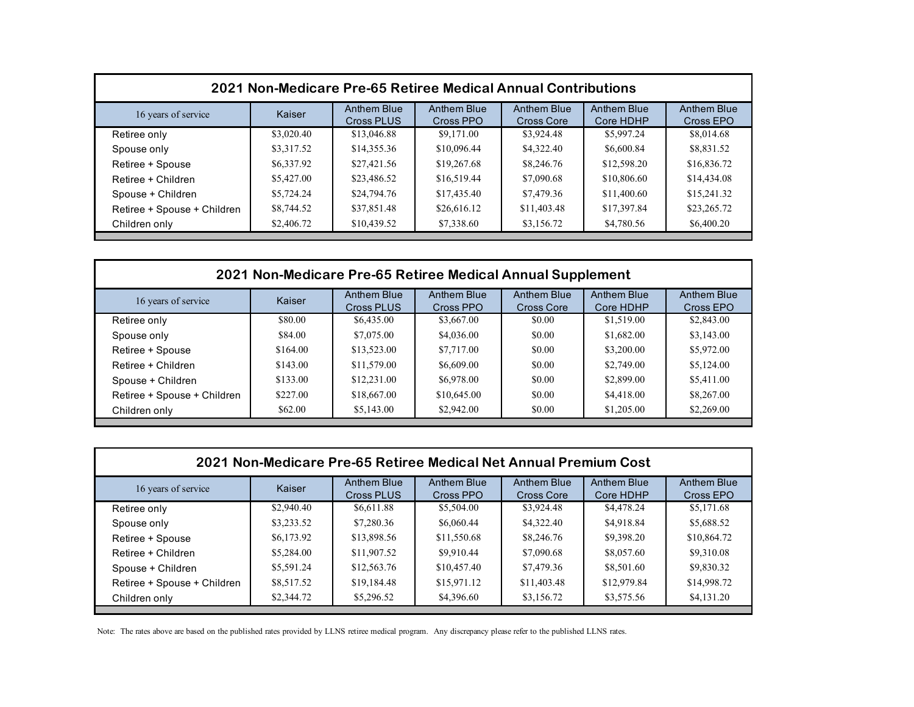| 2021 Non-Medicare Pre-65 Retiree Medical Annual Contributions |            |                                  |                                 |                           |                                 |                                 |  |
|---------------------------------------------------------------|------------|----------------------------------|---------------------------------|---------------------------|---------------------------------|---------------------------------|--|
| 16 years of service                                           | Kaiser     | <b>Anthem Blue</b><br>Cross PLUS | <b>Anthem Blue</b><br>Cross PPO | Anthem Blue<br>Cross Core | <b>Anthem Blue</b><br>Core HDHP | <b>Anthem Blue</b><br>Cross EPO |  |
| Retiree only                                                  | \$3,020.40 | \$13,046.88                      | \$9,171.00                      | \$3,924.48                | \$5,997.24                      | \$8,014.68                      |  |
| Spouse only                                                   | \$3,317.52 | \$14,355.36                      | \$10,096.44                     | \$4,322.40                | \$6,600.84                      | \$8,831.52                      |  |
| Retiree + Spouse                                              | \$6,337.92 | \$27,421.56                      | \$19,267.68                     | \$8,246.76                | \$12,598.20                     | \$16,836.72                     |  |
| Retiree + Children                                            | \$5,427.00 | \$23,486.52                      | \$16,519.44                     | \$7,090.68                | \$10,806.60                     | \$14,434.08                     |  |
| Spouse + Children                                             | \$5,724.24 | \$24,794.76                      | \$17,435.40                     | \$7,479.36                | \$11,400.60                     | \$15,241.32                     |  |
| Retiree + Spouse + Children                                   | \$8,744.52 | \$37,851.48                      | \$26,616.12                     | \$11,403.48               | \$17,397.84                     | \$23,265.72                     |  |
| Children only                                                 | \$2,406.72 | \$10,439.52                      | \$7,338.60                      | \$3,156.72                | \$4,780.56                      | \$6,400.20                      |  |

| 2021 Non-Medicare Pre-65 Retiree Medical Annual Supplement |          |                                  |                          |                           |                          |                                 |  |
|------------------------------------------------------------|----------|----------------------------------|--------------------------|---------------------------|--------------------------|---------------------------------|--|
| 16 years of service                                        | Kaiser   | <b>Anthem Blue</b><br>Cross PLUS | Anthem Blue<br>Cross PPO | Anthem Blue<br>Cross Core | Anthem Blue<br>Core HDHP | <b>Anthem Blue</b><br>Cross EPO |  |
| Retiree only                                               | \$80.00  | \$6,435.00                       | \$3,667.00               | \$0.00                    | \$1,519.00               | \$2,843.00                      |  |
| Spouse only                                                | \$84.00  | \$7,075.00                       | \$4,036.00               | \$0.00                    | \$1,682.00               | \$3,143.00                      |  |
| Retiree + Spouse                                           | \$164.00 | \$13,523.00                      | \$7,717.00               | \$0.00                    | \$3,200.00               | \$5,972.00                      |  |
| Retiree + Children                                         | \$143.00 | \$11,579.00                      | \$6,609.00               | \$0.00                    | \$2,749.00               | \$5,124.00                      |  |
| Spouse + Children                                          | \$133.00 | \$12,231.00                      | \$6,978.00               | \$0.00                    | \$2,899.00               | \$5,411.00                      |  |
| Retiree + Spouse + Children                                | \$227.00 | \$18,667.00                      | \$10,645.00              | \$0.00                    | \$4,418.00               | \$8,267.00                      |  |
| Children only                                              | \$62.00  | \$5,143.00                       | \$2,942.00               | \$0.00                    | \$1,205.00               | \$2,269.00                      |  |

| 2021 Non-Medicare Pre-65 Retiree Medical Net Annual Premium Cost |            |                           |                          |                                         |                                 |                          |  |  |
|------------------------------------------------------------------|------------|---------------------------|--------------------------|-----------------------------------------|---------------------------------|--------------------------|--|--|
| 16 years of service                                              | Kaiser     | Anthem Blue<br>Cross PLUS | Anthem Blue<br>Cross PPO | <b>Anthem Blue</b><br><b>Cross Core</b> | <b>Anthem Blue</b><br>Core HDHP | Anthem Blue<br>Cross EPO |  |  |
| Retiree only                                                     | \$2,940.40 | \$6,611.88                | \$5,504.00               | \$3,924.48                              | \$4,478.24                      | \$5,171.68               |  |  |
| Spouse only                                                      | \$3,233.52 | \$7,280.36                | \$6,060.44               | \$4,322.40                              | \$4,918.84                      | \$5,688.52               |  |  |
| Retiree + Spouse                                                 | \$6,173.92 | \$13,898.56               | \$11,550.68              | \$8,246.76                              | \$9,398.20                      | \$10,864.72              |  |  |
| Retiree + Children                                               | \$5,284.00 | \$11,907.52               | \$9,910.44               | \$7,090.68                              | \$8,057.60                      | \$9,310.08               |  |  |
| Spouse + Children                                                | \$5,591.24 | \$12,563.76               | \$10,457.40              | \$7,479.36                              | \$8,501.60                      | \$9,830.32               |  |  |
| Retiree + Spouse + Children                                      | \$8,517.52 | \$19,184.48               | \$15,971.12              | \$11,403.48                             | \$12,979.84                     | \$14,998.72              |  |  |
| Children only                                                    | \$2,344.72 | \$5,296.52                | \$4,396.60               | \$3,156.72                              | \$3,575.56                      | \$4,131.20               |  |  |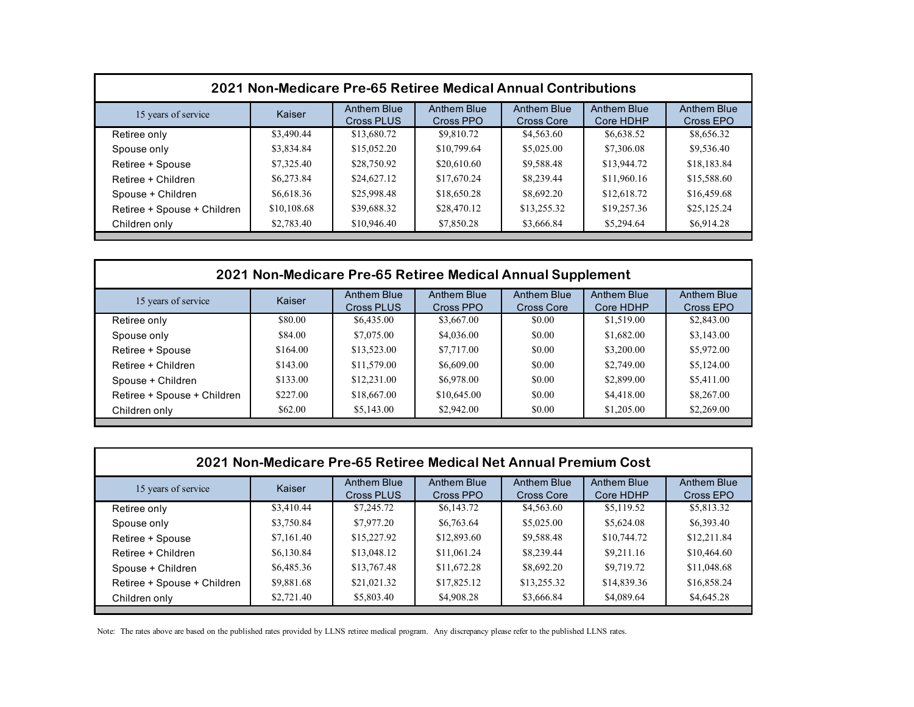| 2021 Non-Medicare Pre-65 Retiree Medical Annual Contributions |             |                                         |                          |                                  |                                 |                                 |  |
|---------------------------------------------------------------|-------------|-----------------------------------------|--------------------------|----------------------------------|---------------------------------|---------------------------------|--|
| 15 years of service                                           | Kaiser      | <b>Anthem Blue</b><br><b>Cross PLUS</b> | Anthem Blue<br>Cross PPO | <b>Anthem Blue</b><br>Cross Core | <b>Anthem Blue</b><br>Core HDHP | <b>Anthem Blue</b><br>Cross EPO |  |
| Retiree only                                                  | \$3,490.44  | \$13,680.72                             | \$9,810.72               | \$4,563.60                       | \$6,638.52                      | \$8,656.32                      |  |
| Spouse only                                                   | \$3,834.84  | \$15,052.20                             | \$10,799.64              | \$5,025.00                       | \$7,306.08                      | \$9,536.40                      |  |
| Retiree + Spouse                                              | \$7,325.40  | \$28,750.92                             | \$20,610.60              | \$9,588.48                       | \$13,944.72                     | \$18,183.84                     |  |
| Retiree + Children                                            | \$6,273.84  | \$24,627.12                             | \$17,670.24              | \$8,239.44                       | \$11,960.16                     | \$15,588.60                     |  |
| Spouse + Children                                             | \$6,618.36  | \$25,998.48                             | \$18,650.28              | \$8,692.20                       | \$12,618.72                     | \$16,459.68                     |  |
| Retiree + Spouse + Children                                   | \$10,108.68 | \$39,688.32                             | \$28,470.12              | \$13,255.32                      | \$19,257.36                     | \$25,125.24                     |  |
| Children only                                                 | \$2,783.40  | \$10,946.40                             | \$7,850.28               | \$3,666.84                       | \$5,294.64                      | \$6,914.28                      |  |

| 2021 Non-Medicare Pre-65 Retiree Medical Annual Supplement |          |                           |                          |                                  |                                 |                          |  |
|------------------------------------------------------------|----------|---------------------------|--------------------------|----------------------------------|---------------------------------|--------------------------|--|
| 15 years of service                                        | Kaiser   | Anthem Blue<br>Cross PLUS | Anthem Blue<br>Cross PPO | Anthem Blue<br><b>Cross Core</b> | <b>Anthem Blue</b><br>Core HDHP | Anthem Blue<br>Cross EPO |  |
| Retiree only                                               | \$80.00  | \$6,435.00                | \$3,667.00               | \$0.00                           | \$1,519.00                      | \$2,843.00               |  |
| Spouse only                                                | \$84.00  | \$7,075.00                | \$4,036.00               | \$0.00                           | \$1,682.00                      | \$3,143.00               |  |
| Retiree + Spouse                                           | \$164.00 | \$13,523.00               | \$7,717.00               | \$0.00                           | \$3,200.00                      | \$5,972.00               |  |
| Retiree + Children                                         | \$143.00 | \$11,579.00               | \$6,609.00               | \$0.00                           | \$2,749.00                      | \$5,124.00               |  |
| Spouse + Children                                          | \$133.00 | \$12,231.00               | \$6,978.00               | \$0.00                           | \$2,899.00                      | \$5,411.00               |  |
| Retiree + Spouse + Children                                | \$227.00 | \$18,667.00               | \$10,645.00              | \$0.00                           | \$4,418.00                      | \$8,267.00               |  |
| Children only                                              | \$62.00  | \$5,143.00                | \$2,942.00               | \$0.00                           | \$1,205.00                      | \$2,269.00               |  |

| 2021 Non-Medicare Pre-65 Retiree Medical Net Annual Premium Cost |            |                           |                          |                                         |                                 |                          |  |  |
|------------------------------------------------------------------|------------|---------------------------|--------------------------|-----------------------------------------|---------------------------------|--------------------------|--|--|
| 15 years of service                                              | Kaiser     | Anthem Blue<br>Cross PLUS | Anthem Blue<br>Cross PPO | <b>Anthem Blue</b><br><b>Cross Core</b> | <b>Anthem Blue</b><br>Core HDHP | Anthem Blue<br>Cross EPO |  |  |
| Retiree only                                                     | \$3,410.44 | \$7,245.72                | \$6,143.72               | \$4,563.60                              | \$5,119.52                      | \$5,813.32               |  |  |
| Spouse only                                                      | \$3,750.84 | \$7,977.20                | \$6,763.64               | \$5,025.00                              | \$5,624.08                      | \$6,393.40               |  |  |
| Retiree + Spouse                                                 | \$7,161.40 | \$15,227.92               | \$12,893.60              | \$9,588.48                              | \$10,744.72                     | \$12,211.84              |  |  |
| Retiree + Children                                               | \$6,130.84 | \$13,048.12               | \$11,061.24              | \$8,239.44                              | \$9,211.16                      | \$10,464.60              |  |  |
| Spouse + Children                                                | \$6,485.36 | \$13,767.48               | \$11,672.28              | \$8,692.20                              | \$9,719.72                      | \$11,048.68              |  |  |
| Retiree + Spouse + Children                                      | \$9,881.68 | \$21,021.32               | \$17,825.12              | \$13,255.32                             | \$14,839.36                     | \$16,858.24              |  |  |
| Children only                                                    | \$2,721.40 | \$5,803.40                | \$4,908.28               | \$3,666.84                              | \$4,089.64                      | \$4,645.28               |  |  |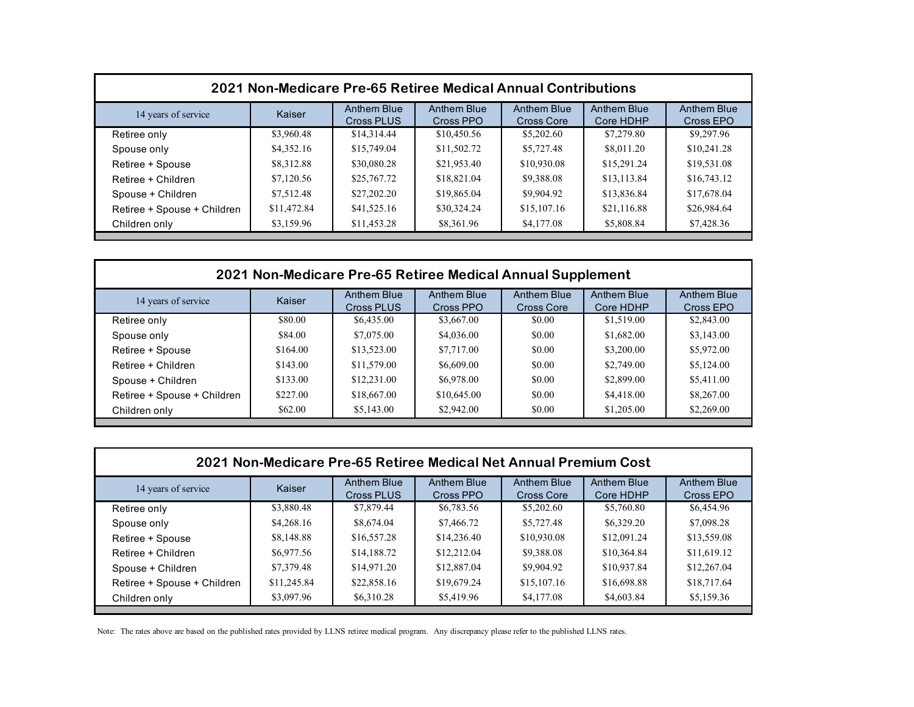| 2021 Non-Medicare Pre-65 Retiree Medical Annual Contributions |             |                                  |                                 |                                  |                                 |                                 |  |
|---------------------------------------------------------------|-------------|----------------------------------|---------------------------------|----------------------------------|---------------------------------|---------------------------------|--|
| 14 years of service                                           | Kaiser      | <b>Anthem Blue</b><br>Cross PLUS | <b>Anthem Blue</b><br>Cross PPO | Anthem Blue<br><b>Cross Core</b> | <b>Anthem Blue</b><br>Core HDHP | <b>Anthem Blue</b><br>Cross EPO |  |
| Retiree only                                                  | \$3,960.48  | \$14,314.44                      | \$10,450.56                     | \$5,202.60                       | \$7,279.80                      | \$9,297.96                      |  |
| Spouse only                                                   | \$4,352.16  | \$15,749.04                      | \$11,502.72                     | \$5,727.48                       | \$8,011.20                      | \$10,241.28                     |  |
| Retiree + Spouse                                              | \$8,312.88  | \$30,080.28                      | \$21,953.40                     | \$10,930.08                      | \$15,291.24                     | \$19,531.08                     |  |
| Retiree + Children                                            | \$7,120.56  | \$25,767.72                      | \$18,821.04                     | \$9,388.08                       | \$13,113.84                     | \$16,743.12                     |  |
| Spouse + Children                                             | \$7,512.48  | \$27,202.20                      | \$19,865.04                     | \$9,904.92                       | \$13,836.84                     | \$17,678.04                     |  |
| Retiree + Spouse + Children                                   | \$11,472.84 | \$41,525.16                      | \$30,324.24                     | \$15,107.16                      | \$21,116.88                     | \$26,984.64                     |  |
| Children only                                                 | \$3,159.96  | \$11,453.28                      | \$8,361.96                      | \$4,177.08                       | \$5,808.84                      | \$7,428.36                      |  |

| 2021 Non-Medicare Pre-65 Retiree Medical Annual Supplement |          |                                  |                          |                           |                          |                                 |  |
|------------------------------------------------------------|----------|----------------------------------|--------------------------|---------------------------|--------------------------|---------------------------------|--|
| 14 years of service                                        | Kaiser   | <b>Anthem Blue</b><br>Cross PLUS | Anthem Blue<br>Cross PPO | Anthem Blue<br>Cross Core | Anthem Blue<br>Core HDHP | <b>Anthem Blue</b><br>Cross EPO |  |
| Retiree only                                               | \$80.00  | \$6,435.00                       | \$3,667.00               | \$0.00                    | \$1,519.00               | \$2,843.00                      |  |
| Spouse only                                                | \$84.00  | \$7,075.00                       | \$4,036.00               | \$0.00                    | \$1,682.00               | \$3,143.00                      |  |
| Retiree + Spouse                                           | \$164.00 | \$13,523.00                      | \$7,717.00               | \$0.00                    | \$3,200.00               | \$5,972.00                      |  |
| Retiree + Children                                         | \$143.00 | \$11,579.00                      | \$6,609.00               | \$0.00                    | \$2,749.00               | \$5,124.00                      |  |
| Spouse + Children                                          | \$133.00 | \$12,231.00                      | \$6,978.00               | \$0.00                    | \$2,899.00               | \$5,411.00                      |  |
| Retiree + Spouse + Children                                | \$227.00 | \$18,667.00                      | \$10,645.00              | \$0.00                    | \$4,418.00               | \$8,267.00                      |  |
| Children only                                              | \$62.00  | \$5,143.00                       | \$2,942.00               | \$0.00                    | \$1,205.00               | \$2,269.00                      |  |

| 2021 Non-Medicare Pre-65 Retiree Medical Net Annual Premium Cost |             |                           |                          |                                  |                                 |                          |  |  |
|------------------------------------------------------------------|-------------|---------------------------|--------------------------|----------------------------------|---------------------------------|--------------------------|--|--|
| 14 years of service                                              | Kaiser      | Anthem Blue<br>Cross PLUS | Anthem Blue<br>Cross PPO | Anthem Blue<br><b>Cross Core</b> | <b>Anthem Blue</b><br>Core HDHP | Anthem Blue<br>Cross EPO |  |  |
| Retiree only                                                     | \$3,880.48  | \$7,879.44                | \$6,783.56               | \$5,202.60                       | \$5,760.80                      | \$6,454.96               |  |  |
| Spouse only                                                      | \$4,268.16  | \$8,674.04                | \$7,466.72               | \$5,727.48                       | \$6,329.20                      | \$7,098.28               |  |  |
| Retiree + Spouse                                                 | \$8,148.88  | \$16,557.28               | \$14,236.40              | \$10,930.08                      | \$12,091.24                     | \$13,559.08              |  |  |
| Retiree + Children                                               | \$6,977.56  | \$14,188.72               | \$12,212.04              | \$9,388.08                       | \$10,364.84                     | \$11,619.12              |  |  |
| Spouse + Children                                                | \$7,379.48  | \$14,971.20               | \$12,887.04              | \$9,904.92                       | \$10,937.84                     | \$12,267.04              |  |  |
| Retiree + Spouse + Children                                      | \$11,245.84 | \$22,858.16               | \$19,679.24              | \$15,107.16                      | \$16,698.88                     | \$18,717.64              |  |  |
| Children only                                                    | \$3,097.96  | \$6,310.28                | \$5,419.96               | \$4,177.08                       | \$4,603.84                      | \$5,159.36               |  |  |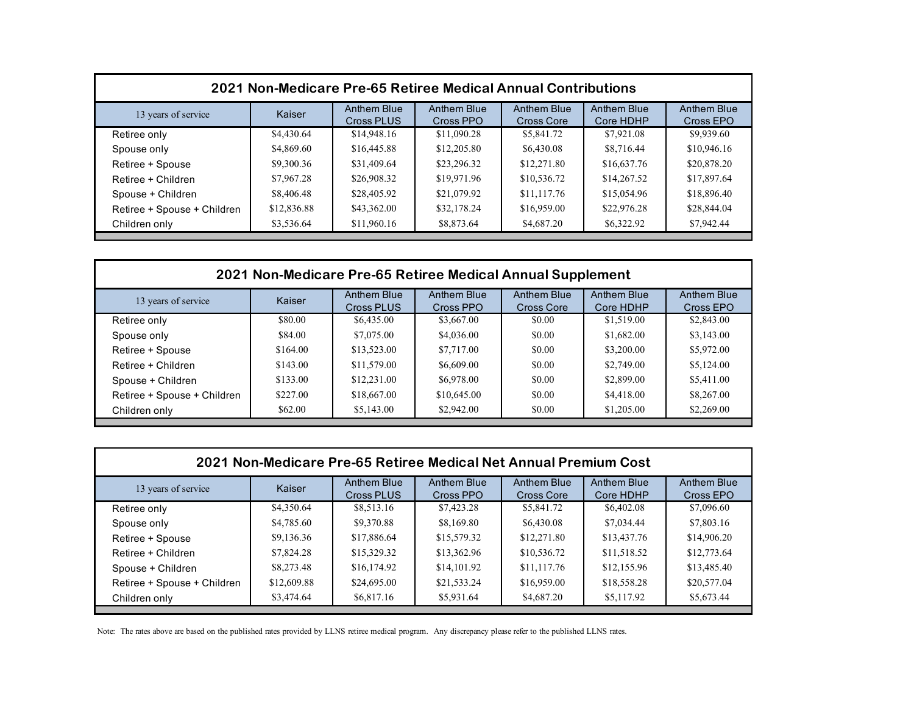| 2021 Non-Medicare Pre-65 Retiree Medical Annual Contributions |             |                           |                                 |                           |                                 |                                 |  |
|---------------------------------------------------------------|-------------|---------------------------|---------------------------------|---------------------------|---------------------------------|---------------------------------|--|
| 13 years of service                                           | Kaiser      | Anthem Blue<br>Cross PLUS | <b>Anthem Blue</b><br>Cross PPO | Anthem Blue<br>Cross Core | <b>Anthem Blue</b><br>Core HDHP | <b>Anthem Blue</b><br>Cross EPO |  |
| Retiree only                                                  | \$4,430.64  | \$14,948.16               | \$11,090.28                     | \$5,841.72                | \$7,921.08                      | \$9,939.60                      |  |
| Spouse only                                                   | \$4,869.60  | \$16,445.88               | \$12,205.80                     | \$6,430.08                | \$8,716.44                      | \$10,946.16                     |  |
| Retiree + Spouse                                              | \$9,300.36  | \$31,409.64               | \$23,296.32                     | \$12,271.80               | \$16,637.76                     | \$20,878.20                     |  |
| Retiree + Children                                            | \$7,967.28  | \$26,908.32               | \$19,971.96                     | \$10,536.72               | \$14,267.52                     | \$17,897.64                     |  |
| Spouse + Children                                             | \$8,406.48  | \$28,405.92               | \$21,079.92                     | \$11,117.76               | \$15,054.96                     | \$18,896.40                     |  |
| Retiree + Spouse + Children                                   | \$12,836.88 | \$43,362.00               | \$32,178.24                     | \$16,959.00               | \$22,976.28                     | \$28,844.04                     |  |
| Children only                                                 | \$3,536.64  | \$11,960.16               | \$8,873.64                      | \$4,687.20                | \$6,322.92                      | \$7,942.44                      |  |

| 2021 Non-Medicare Pre-65 Retiree Medical Annual Supplement |          |                                  |                          |                           |                          |                                 |  |
|------------------------------------------------------------|----------|----------------------------------|--------------------------|---------------------------|--------------------------|---------------------------------|--|
| 13 years of service                                        | Kaiser   | <b>Anthem Blue</b><br>Cross PLUS | Anthem Blue<br>Cross PPO | Anthem Blue<br>Cross Core | Anthem Blue<br>Core HDHP | <b>Anthem Blue</b><br>Cross EPO |  |
| Retiree only                                               | \$80.00  | \$6,435.00                       | \$3,667.00               | \$0.00                    | \$1,519.00               | \$2,843.00                      |  |
| Spouse only                                                | \$84.00  | \$7,075.00                       | \$4,036.00               | \$0.00                    | \$1,682.00               | \$3,143.00                      |  |
| Retiree + Spouse                                           | \$164.00 | \$13,523.00                      | \$7,717.00               | \$0.00                    | \$3,200.00               | \$5,972.00                      |  |
| Retiree + Children                                         | \$143.00 | \$11,579.00                      | \$6,609.00               | \$0.00                    | \$2,749.00               | \$5,124.00                      |  |
| Spouse + Children                                          | \$133.00 | \$12,231.00                      | \$6,978.00               | \$0.00                    | \$2,899.00               | \$5,411.00                      |  |
| Retiree + Spouse + Children                                | \$227.00 | \$18,667.00                      | \$10,645.00              | \$0.00                    | \$4,418.00               | \$8,267.00                      |  |
| Children only                                              | \$62.00  | \$5,143.00                       | \$2,942.00               | \$0.00                    | \$1,205.00               | \$2,269.00                      |  |

| 2021 Non-Medicare Pre-65 Retiree Medical Net Annual Premium Cost |             |                           |                          |                                  |                                 |                          |  |  |
|------------------------------------------------------------------|-------------|---------------------------|--------------------------|----------------------------------|---------------------------------|--------------------------|--|--|
| 13 years of service                                              | Kaiser      | Anthem Blue<br>Cross PLUS | Anthem Blue<br>Cross PPO | Anthem Blue<br><b>Cross Core</b> | <b>Anthem Blue</b><br>Core HDHP | Anthem Blue<br>Cross EPO |  |  |
| Retiree only                                                     | \$4,350.64  | \$8,513.16                | \$7,423.28               | \$5,841.72                       | \$6,402.08                      | \$7,096.60               |  |  |
| Spouse only                                                      | \$4,785.60  | \$9,370.88                | \$8,169.80               | \$6,430.08                       | \$7,034.44                      | \$7,803.16               |  |  |
| Retiree + Spouse                                                 | \$9,136.36  | \$17,886.64               | \$15,579.32              | \$12,271.80                      | \$13,437.76                     | \$14,906.20              |  |  |
| Retiree + Children                                               | \$7,824.28  | \$15,329.32               | \$13,362.96              | \$10,536.72                      | \$11,518.52                     | \$12,773.64              |  |  |
| Spouse + Children                                                | \$8,273.48  | \$16,174.92               | \$14,101.92              | \$11,117.76                      | \$12,155.96                     | \$13,485.40              |  |  |
| Retiree + Spouse + Children                                      | \$12,609.88 | \$24,695.00               | \$21,533.24              | \$16,959.00                      | \$18,558.28                     | \$20,577.04              |  |  |
| Children only                                                    | \$3,474.64  | \$6,817.16                | \$5,931.64               | \$4,687.20                       | \$5,117.92                      | \$5,673.44               |  |  |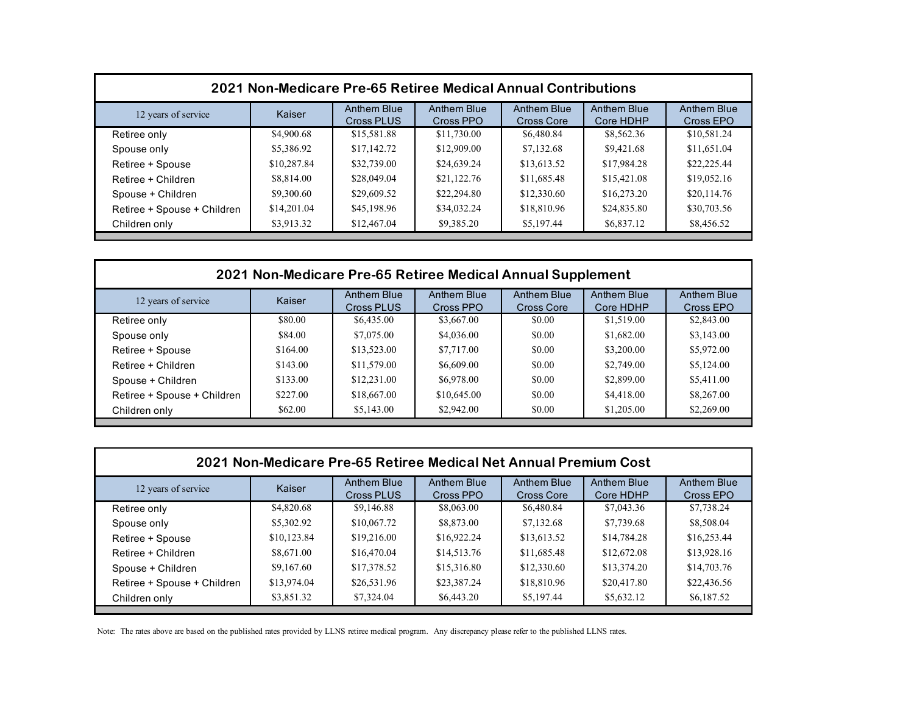| 2021 Non-Medicare Pre-65 Retiree Medical Annual Contributions |             |                           |                                 |                           |                          |                          |  |
|---------------------------------------------------------------|-------------|---------------------------|---------------------------------|---------------------------|--------------------------|--------------------------|--|
| 12 years of service                                           | Kaiser      | Anthem Blue<br>Cross PLUS | <b>Anthem Blue</b><br>Cross PPO | Anthem Blue<br>Cross Core | Anthem Blue<br>Core HDHP | Anthem Blue<br>Cross EPO |  |
| Retiree only                                                  | \$4,900.68  | \$15,581.88               | \$11,730.00                     | \$6,480.84                | \$8,562.36               | \$10,581.24              |  |
| Spouse only                                                   | \$5,386.92  | \$17,142.72               | \$12,909.00                     | \$7,132.68                | \$9,421.68               | \$11,651.04              |  |
| Retiree + Spouse                                              | \$10,287.84 | \$32,739.00               | \$24,639.24                     | \$13,613.52               | \$17,984.28              | \$22,225.44              |  |
| Retiree + Children                                            | \$8,814.00  | \$28,049.04               | \$21,122.76                     | \$11,685.48               | \$15,421.08              | \$19,052.16              |  |
| Spouse + Children                                             | \$9,300.60  | \$29,609.52               | \$22,294.80                     | \$12,330.60               | \$16,273.20              | \$20,114.76              |  |
| Retiree + Spouse + Children                                   | \$14,201.04 | \$45,198.96               | \$34,032.24                     | \$18,810.96               | \$24,835.80              | \$30,703.56              |  |
| Children only                                                 | \$3,913.32  | \$12,467.04               | \$9,385.20                      | \$5,197.44                | \$6,837.12               | \$8,456.52               |  |

| 2021 Non-Medicare Pre-65 Retiree Medical Annual Supplement |          |                           |                                 |                           |                          |                                 |  |
|------------------------------------------------------------|----------|---------------------------|---------------------------------|---------------------------|--------------------------|---------------------------------|--|
| 12 years of service                                        | Kaiser   | Anthem Blue<br>Cross PLUS | <b>Anthem Blue</b><br>Cross PPO | Anthem Blue<br>Cross Core | Anthem Blue<br>Core HDHP | <b>Anthem Blue</b><br>Cross EPO |  |
| Retiree only                                               | \$80.00  | \$6,435.00                | \$3,667.00                      | \$0.00                    | \$1,519.00               | \$2,843.00                      |  |
| Spouse only                                                | \$84.00  | \$7,075.00                | \$4,036.00                      | \$0.00                    | \$1,682.00               | \$3,143.00                      |  |
| Retiree + Spouse                                           | \$164.00 | \$13,523.00               | \$7,717.00                      | \$0.00                    | \$3,200.00               | \$5,972.00                      |  |
| Retiree + Children                                         | \$143.00 | \$11,579.00               | \$6,609.00                      | \$0.00                    | \$2,749.00               | \$5,124.00                      |  |
| Spouse + Children                                          | \$133.00 | \$12,231.00               | \$6,978.00                      | \$0.00                    | \$2,899.00               | \$5,411.00                      |  |
| Retiree + Spouse + Children                                | \$227.00 | \$18,667.00               | \$10,645.00                     | \$0.00                    | \$4,418.00               | \$8,267.00                      |  |
| Children only                                              | \$62.00  | \$5,143.00                | \$2,942.00                      | \$0.00                    | \$1,205.00               | \$2,269.00                      |  |

| 2021 Non-Medicare Pre-65 Retiree Medical Net Annual Premium Cost |             |                           |                          |                                         |                                 |                          |  |  |
|------------------------------------------------------------------|-------------|---------------------------|--------------------------|-----------------------------------------|---------------------------------|--------------------------|--|--|
| 12 years of service                                              | Kaiser      | Anthem Blue<br>Cross PLUS | Anthem Blue<br>Cross PPO | <b>Anthem Blue</b><br><b>Cross Core</b> | <b>Anthem Blue</b><br>Core HDHP | Anthem Blue<br>Cross EPO |  |  |
| Retiree only                                                     | \$4,820.68  | \$9,146.88                | \$8,063.00               | \$6,480.84                              | \$7,043.36                      | \$7,738.24               |  |  |
| Spouse only                                                      | \$5,302.92  | \$10,067.72               | \$8,873.00               | \$7,132.68                              | \$7,739.68                      | \$8,508.04               |  |  |
| Retiree + Spouse                                                 | \$10,123.84 | \$19,216.00               | \$16,922.24              | \$13,613.52                             | \$14,784.28                     | \$16,253.44              |  |  |
| Retiree + Children                                               | \$8,671.00  | \$16,470.04               | \$14,513.76              | \$11,685.48                             | \$12,672.08                     | \$13,928.16              |  |  |
| Spouse + Children                                                | \$9,167.60  | \$17,378.52               | \$15,316.80              | \$12,330.60                             | \$13,374.20                     | \$14,703.76              |  |  |
| Retiree + Spouse + Children                                      | \$13,974.04 | \$26,531.96               | \$23,387.24              | \$18,810.96                             | \$20,417.80                     | \$22,436.56              |  |  |
| Children only                                                    | \$3,851.32  | \$7,324.04                | \$6,443.20               | \$5,197.44                              | \$5,632.12                      | \$6,187.52               |  |  |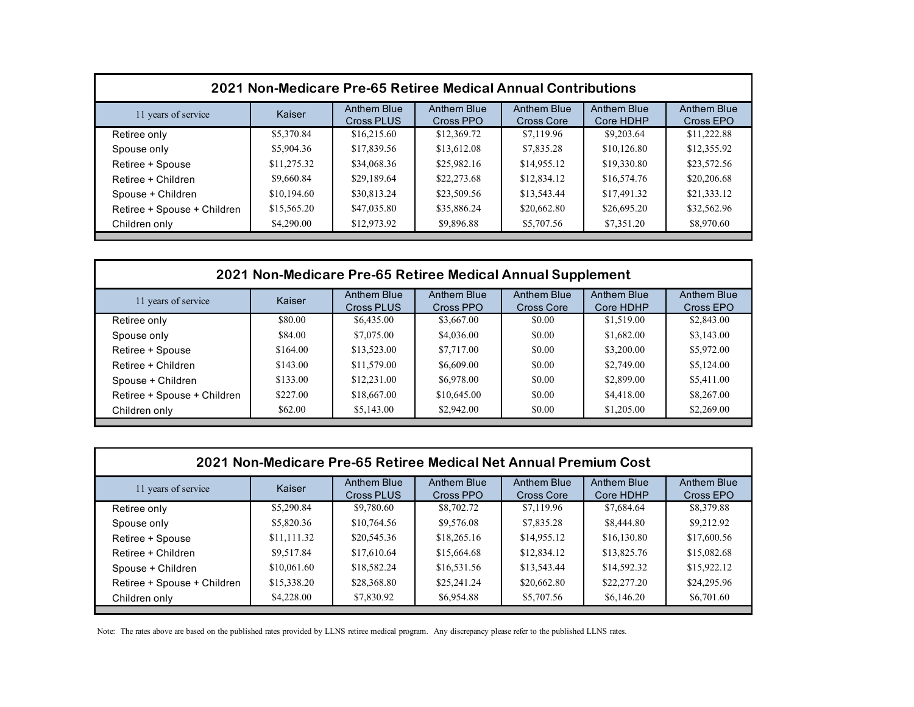| 2021 Non-Medicare Pre-65 Retiree Medical Annual Contributions |             |                                  |                          |                                  |                                 |                                 |  |
|---------------------------------------------------------------|-------------|----------------------------------|--------------------------|----------------------------------|---------------------------------|---------------------------------|--|
| 11 years of service                                           | Kaiser      | Anthem Blue<br><b>Cross PLUS</b> | Anthem Blue<br>Cross PPO | <b>Anthem Blue</b><br>Cross Core | <b>Anthem Blue</b><br>Core HDHP | <b>Anthem Blue</b><br>Cross EPO |  |
| Retiree only                                                  | \$5,370.84  | \$16,215.60                      | \$12,369.72              | \$7,119.96                       | \$9,203.64                      | \$11,222.88                     |  |
| Spouse only                                                   | \$5,904.36  | \$17,839.56                      | \$13,612.08              | \$7,835.28                       | \$10,126.80                     | \$12,355.92                     |  |
| Retiree + Spouse                                              | \$11,275.32 | \$34,068.36                      | \$25,982.16              | \$14,955.12                      | \$19,330.80                     | \$23,572.56                     |  |
| Retiree + Children                                            | \$9,660.84  | \$29,189.64                      | \$22,273.68              | \$12,834.12                      | \$16,574.76                     | \$20,206.68                     |  |
| Spouse + Children                                             | \$10,194.60 | \$30,813.24                      | \$23,509.56              | \$13,543.44                      | \$17,491.32                     | \$21,333.12                     |  |
| Retiree + Spouse + Children                                   | \$15,565.20 | \$47,035.80                      | \$35,886.24              | \$20,662.80                      | \$26,695.20                     | \$32,562.96                     |  |
| Children only                                                 | \$4,290.00  | \$12,973.92                      | \$9,896.88               | \$5,707.56                       | \$7,351.20                      | \$8,970.60                      |  |

| 2021 Non-Medicare Pre-65 Retiree Medical Annual Supplement |          |                           |                          |                                  |                                 |                          |  |
|------------------------------------------------------------|----------|---------------------------|--------------------------|----------------------------------|---------------------------------|--------------------------|--|
| 11 years of service                                        | Kaiser   | Anthem Blue<br>Cross PLUS | Anthem Blue<br>Cross PPO | Anthem Blue<br><b>Cross Core</b> | <b>Anthem Blue</b><br>Core HDHP | Anthem Blue<br>Cross EPO |  |
| Retiree only                                               | \$80.00  | \$6,435.00                | \$3,667.00               | \$0.00                           | \$1,519.00                      | \$2,843.00               |  |
| Spouse only                                                | \$84.00  | \$7,075.00                | \$4,036.00               | \$0.00                           | \$1,682.00                      | \$3,143.00               |  |
| Retiree + Spouse                                           | \$164.00 | \$13,523.00               | \$7,717.00               | \$0.00                           | \$3,200.00                      | \$5,972.00               |  |
| Retiree + Children                                         | \$143.00 | \$11,579.00               | \$6,609.00               | \$0.00                           | \$2,749.00                      | \$5,124.00               |  |
| Spouse + Children                                          | \$133.00 | \$12,231.00               | \$6,978.00               | \$0.00                           | \$2,899.00                      | \$5,411.00               |  |
| Retiree + Spouse + Children                                | \$227.00 | \$18,667.00               | \$10,645.00              | \$0.00                           | \$4,418.00                      | \$8,267.00               |  |
| Children only                                              | \$62.00  | \$5,143.00                | \$2,942.00               | \$0.00                           | \$1,205.00                      | \$2,269.00               |  |

| 2021 Non-Medicare Pre-65 Retiree Medical Net Annual Premium Cost |             |                                  |                          |                           |                                 |                          |  |  |
|------------------------------------------------------------------|-------------|----------------------------------|--------------------------|---------------------------|---------------------------------|--------------------------|--|--|
| 11 years of service                                              | Kaiser      | Anthem Blue<br><b>Cross PLUS</b> | Anthem Blue<br>Cross PPO | Anthem Blue<br>Cross Core | <b>Anthem Blue</b><br>Core HDHP | Anthem Blue<br>Cross EPO |  |  |
| Retiree only                                                     | \$5,290.84  | \$9,780.60                       | \$8,702.72               | \$7,119.96                | \$7,684.64                      | \$8,379.88               |  |  |
| Spouse only                                                      | \$5,820.36  | \$10,764.56                      | \$9,576.08               | \$7,835.28                | \$8,444.80                      | \$9,212.92               |  |  |
| Retiree + Spouse                                                 | \$11,111.32 | \$20,545.36                      | \$18,265.16              | \$14,955.12               | \$16,130.80                     | \$17,600.56              |  |  |
| Retiree + Children                                               | \$9.517.84  | \$17,610.64                      | \$15,664.68              | \$12,834.12               | \$13,825.76                     | \$15,082.68              |  |  |
| Spouse + Children                                                | \$10,061.60 | \$18,582.24                      | \$16,531.56              | \$13,543.44               | \$14,592.32                     | \$15,922.12              |  |  |
| Retiree + Spouse + Children                                      | \$15,338.20 | \$28,368.80                      | \$25,241.24              | \$20,662.80               | \$22,277.20                     | \$24,295.96              |  |  |
| Children only                                                    | \$4,228.00  | \$7,830.92                       | \$6,954.88               | \$5,707.56                | \$6,146.20                      | \$6,701.60               |  |  |